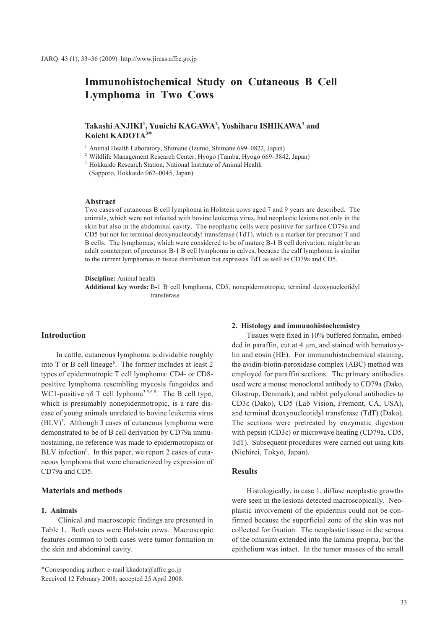# **Immunohistochemical Study on Cutaneous B Cell Lymphoma in Two Cows**

# **Takashi ANJIKI1 , Yuuichi KAGAWA2 , Yoshiharu ISHIKAWA3 and Koichi KADOTA3\***

<sup>1</sup> Animal Health Laboratory, Shimane (Izumo, Shimane 699-0822, Japan)

<sup>2</sup> Wildlife Management Research Center, Hyogo (Tamba, Hyogo 669–3842, Japan)

3 Hokkaido Research Station, National Institute of Animal Health

(Sapporo, Hokkaido 062–0045, Japan)

## **Abstract**

Two cases of cutaneous B cell lymphoma in Holstein cows aged 7 and 9 years are described. The animals, which were not infected with bovine leukemia virus, had neoplastic lesions not only in the skin but also in the abdominal cavity. The neoplastic cells were positive for surface CD79a and CD5 but not for terminal deoxynucleotidyl transferase (TdT), which is a marker for precursor T and B cells. The lymphomas, which were considered to be of mature B-1 B cell derivation, might be an adult counterpart of precursor B-1 B cell lymphoma in calves, because the calf lymphoma is similar to the current lymphomas in tissue distribution but expresses TdT as well as CD79a and CD5.

**Discipline:** Animal health

**Additional key words:** B-1 B cell lymphoma, CD5, nonepidermotropic, terminal deoxynucleotidyl transferase

# **Introduction**

In cattle, cutaneous lymphoma is dividable roughly into T or B cell lineage<sup>6</sup>. The former includes at least 2 types of epidermotropic T cell lymphoma: CD4- or CD8 positive lymphoma resembling mycosis fungoides and WC1-positive  $\gamma \delta$  T cell lyphoma<sup>3,5,6,9</sup>. The B cell type, which is presumably nonepidermotropic, is a rare disease of young animals unrelated to bovine leukemia virus (BLV)<sup>7</sup>. Although 3 cases of cutaneous lymphoma were demonstrated to be of B cell derivation by CD79a immunostaining, no reference was made to epidermotropism or BLV infection<sup>6</sup>. In this paper, we report 2 cases of cutaneous lymphoma that were characterized by expression of CD79a and CD5.

# **Materials and methods**

## **1. Animals**

 Clinical and macroscopic findings are presented in Table 1. Both cases were Holstein cows. Macroscopic features common to both cases were tumor formation in the skin and abdominal cavity.

# **2. Histology and immunohistochemistry**

Tissues were fixed in 10% buffered formalin, embedded in paraffin, cut at 4 μm, and stained with hematoxylin and eosin (HE). For immunohistochemical staining, the avidin-biotin-peroxidase complex (ABC) method was employed for paraffin sections. The primary antibodies used were a mouse monoclonal antibody to CD79a (Dako, Glostrup, Denmark), and rabbit polyclonal antibodies to CD3ε (Dako), CD5 (Lab Vision, Fremont, CA, USA), and terminal deoxynucleotidyl transferase (TdT) (Dako). The sections were pretreated by enzymatic digestion with pepsin (CD3ε) or microwave heating (CD79a, CD5, TdT). Subsequent procedures were carried out using kits (Nichirei, Tokyo, Japan).

# **Results**

Histologically, in case 1, diffuse neoplastic growths were seen in the lesions detected macroscopically. Neoplastic involvement of the epidermis could not be confirmed because the superficial zone of the skin was not collected for fixation. The neoplastic tissue in the serosa of the omasum extended into the lamina propria, but the epithelium was intact. In the tumor masses of the small

<sup>\*</sup>Corresponding author: e-mail kkadota@affrc.go.jp Received 12 February 2008; accepted 25 April 2008.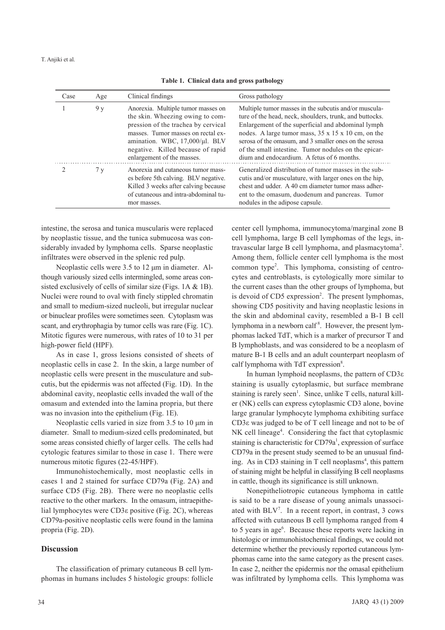| Case | Age | Clinical findings                                                                                                                                                                                                                                        | Gross pathology                                                                                                                                                                                                                                                                                                                                                                              |
|------|-----|----------------------------------------------------------------------------------------------------------------------------------------------------------------------------------------------------------------------------------------------------------|----------------------------------------------------------------------------------------------------------------------------------------------------------------------------------------------------------------------------------------------------------------------------------------------------------------------------------------------------------------------------------------------|
|      | 9 y | Anorexia. Multiple tumor masses on<br>the skin. Wheezing owing to com-<br>pression of the trachea by cervical<br>masses. Tumor masses on rectal ex-<br>amination. WBC, 17,000/µl. BLV<br>negative. Killed because of rapid<br>enlargement of the masses. | Multiple tumor masses in the subcutis and/or muscula-<br>ture of the head, neck, shoulders, trunk, and buttocks.<br>Enlargement of the superficial and abdominal lymph<br>nodes. A large tumor mass, 35 x 15 x 10 cm, on the<br>serosa of the omasum, and 3 smaller ones on the serosa<br>of the small intestine. Tumor nodules on the epicar-<br>dium and endocardium. A fetus of 6 months. |
|      | 7v  | Anorexia and cutaneous tumor mass-<br>es before 5th calving. BLV negative.<br>Killed 3 weeks after calving because<br>of cutaneous and intra-abdominal tu-<br>mor masses.                                                                                | Generalized distribution of tumor masses in the sub-<br>cutis and/or musculature, with larger ones on the hip,<br>chest and udder. A 40 cm diameter tumor mass adher-<br>ent to the omasum, duodenum and pancreas. Tumor<br>nodules in the adipose capsule.                                                                                                                                  |

**Table 1. Clinical data and gross pathology**

intestine, the serosa and tunica muscularis were replaced by neoplastic tissue, and the tunica submucosa was considerably invaded by lymphoma cells. Sparse neoplastic infiltrates were observed in the splenic red pulp.

Neoplastic cells were 3.5 to 12 μm in diameter. Although variously sized cells intermingled, some areas consisted exclusively of cells of similar size (Figs. 1A & 1B). Nuclei were round to oval with finely stippled chromatin and small to medium-sized nucleoli, but irregular nuclear or binuclear profiles were sometimes seen. Cytoplasm was scant, and erythrophagia by tumor cells was rare (Fig. 1C). Mitotic figures were numerous, with rates of 10 to 31 per high-power field (HPF).

As in case 1, gross lesions consisted of sheets of neoplastic cells in case 2. In the skin, a large number of neoplastic cells were present in the musculature and subcutis, but the epidermis was not affected (Fig. 1D). In the abdominal cavity, neoplastic cells invaded the wall of the omasum and extended into the lamina propria, but there was no invasion into the epithelium (Fig. 1E).

Neoplastic cells varied in size from 3.5 to 10 μm in diameter. Small to medium-sized cells predominated, but some areas consisted chiefly of larger cells. The cells had cytologic features similar to those in case 1. There were numerous mitotic figures (22-45/HPF).

Immunohistochemically, most neoplastic cells in cases 1 and 2 stained for surface CD79a (Fig. 2A) and surface CD5 (Fig. 2B). There were no neoplastic cells reactive to the other markers. In the omasum, intraepithelial lymphocytes were CD3ε positive (Fig. 2C), whereas CD79a-positive neoplastic cells were found in the lamina propria (Fig. 2D).

## **Discussion**

The classification of primary cutaneous B cell lymphomas in humans includes 5 histologic groups: follicle center cell lymphoma, immunocytoma/marginal zone B cell lymphoma, large B cell lymphomas of the legs, intravascular large B cell lymphoma, and plasmacytoma<sup>2</sup>. Among them, follicle center cell lymphoma is the most common type2 . This lymphoma, consisting of centrocytes and centroblasts, is cytologically more similar to the current cases than the other groups of lymphoma, but is devoid of CD5 expression<sup>2</sup>. The present lymphomas, showing CD5 positivity and having neoplastic lesions in the skin and abdominal cavity, resembled a B-1 B cell lymphoma in a newborn calf<sup>8</sup>. However, the present lymphomas lacked TdT, which is a marker of precursor T and B lymphoblasts, and was considered to be a neoplasm of mature B-1 B cells and an adult counterpart neoplasm of calf lymphoma with TdT expression<sup>8</sup>.

In human lymphoid neoplasms, the pattern of CD3ε staining is usually cytoplasmic, but surface membrane staining is rarely seen<sup>1</sup>. Since, unlike T cells, natural killer (NK) cells can express cytoplasmic CD3 alone, bovine large granular lymphocyte lymphoma exhibiting surface CD3ε was judged to be of T cell lineage and not to be of NK cell lineage<sup>4</sup>. Considering the fact that cytoplasmic staining is characteristic for CD79a<sup>1</sup>, expression of surface CD79a in the present study seemed to be an unusual finding. As in CD3 staining in T cell neoplasms<sup>4</sup>, this pattern of staining might be helpful in classifying B cell neoplasms in cattle, though its significance is still unknown.

Nonepitheliotropic cutaneous lymphoma in cattle is said to be a rare disease of young animals unassociated with BLV7 . In a recent report, in contrast, 3 cows affected with cutaneous B cell lymphoma ranged from 4 to 5 years in age<sup>6</sup>. Because these reports were lacking in histologic or immunohistochemical findings, we could not determine whether the previously reported cutaneous lymphomas came into the same category as the present cases. In case 2, neither the epidermis nor the omasal epithelium was infiltrated by lymphoma cells. This lymphoma was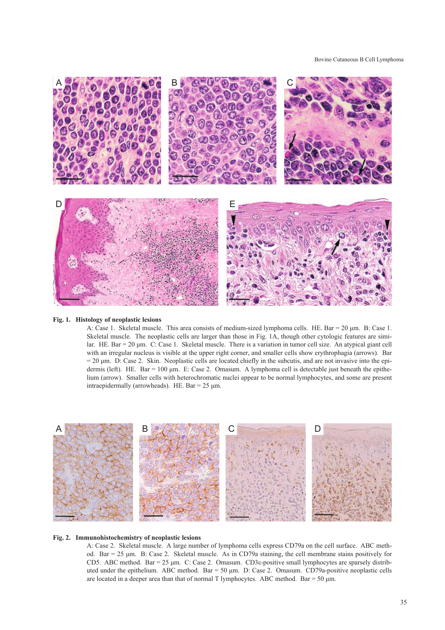

### **Fig. 1. Histology of neoplastic lesions**

A: Case 1. Skeletal muscle. This area consists of medium-sized lymphoma cells. HE. Bar = 20 μm. B: Case 1. Skeletal muscle. The neoplastic cells are larger than those in Fig. 1A, though other cytologic features are similar. HE. Bar = 20 μm. C: Case 1. Skeletal muscle. There is a variation in tumor cell size. An atypical giant cell with an irregular nucleus is visible at the upper right corner, and smaller cells show erythrophagia (arrows). Bar  $= 20 \mu m$ . D: Case 2. Skin. Neoplastic cells are located chiefly in the subcutis, and are not invasive into the epidermis (left). HE. Bar =  $100 \mu m$ . E: Case 2. Omasum. A lymphoma cell is detectable just beneath the epithelium (arrow). Smaller cells with heterochromatic nuclei appear to be normal lymphocytes, and some are present intraepidermally (arrowheads). HE. Bar = 25 μm.



## **Fig. 2. Immunohistochemistry of neoplastic lesions**

A: Case 2. Skeletal muscle. A large number of lymphoma cells express CD79a on the cell surface. ABC method. Bar = 25 μm. B: Case 2. Skeletal muscle. As in CD79a staining, the cell membrane stains positively for CD5. ABC method. Bar = 25 μm. C: Case 2. Omasum. CD3ε-positive small lymphocytes are sparsely distributed under the epithelium. ABC method. Bar = 50 μm. D: Case 2. Omasum. CD79a-positive neoplastic cells are located in a deeper area than that of normal T lymphocytes. ABC method. Bar =  $50 \mu m$ .